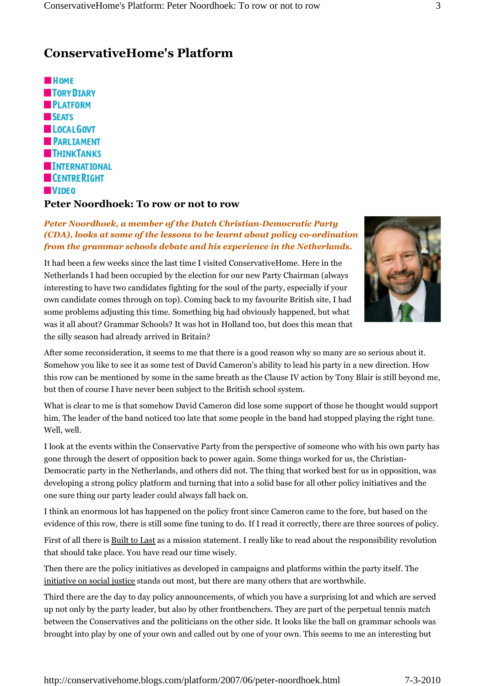## **ConservativeHome's Platform**



## **Peter Noordhoek: To row or not to row**

## *Peter Noordhoek, a member of the Dutch Christian-Democratic Party (CDA), looks at some of the lessons to be learnt about policy co-ordination from the grammar schools debate and his experience in the Netherlands.*

It had been a few weeks since the last time I visited ConservativeHome. Here in the Netherlands I had been occupied by the election for our new Party Chairman (always interesting to have two candidates fighting for the soul of the party, especially if your own candidate comes through on top). Coming back to my favourite British site, I had some problems adjusting this time. Something big had obviously happened, but what was it all about? Grammar Schools? It was hot in Holland too, but does this mean that the silly season had already arrived in Britain?



After some reconsideration, it seems to me that there is a good reason why so many are so serious about it. Somehow you like to see it as some test of David Cameron's ability to lead his party in a new direction. How this row can be mentioned by some in the same breath as the Clause IV action by Tony Blair is still beyond me, but then of course I have never been subject to the British school system.

What is clear to me is that somehow David Cameron did lose some support of those he thought would support him. The leader of the band noticed too late that some people in the band had stopped playing the right tune. Well, well.

I look at the events within the Conservative Party from the perspective of someone who with his own party has gone through the desert of opposition back to power again. Some things worked for us, the Christian-Democratic party in the Netherlands, and others did not. The thing that worked best for us in opposition, was developing a strong policy platform and turning that into a solid base for all other policy initiatives and the one sure thing our party leader could always fall back on.

I think an enormous lot has happened on the policy front since Cameron came to the fore, but based on the evidence of this row, there is still some fine tuning to do. If I read it correctly, there are three sources of policy.

First of all there is Built to Last as a mission statement. I really like to read about the responsibility revolution that should take place. You have read our time wisely.

Then there are the policy initiatives as developed in campaigns and platforms within the party itself. The initiative on social justice stands out most, but there are many others that are worthwhile.

Third there are the day to day policy announcements, of which you have a surprising lot and which are served up not only by the party leader, but also by other frontbenchers. They are part of the perpetual tennis match between the Conservatives and the politicians on the other side. It looks like the ball on grammar schools was brought into play by one of your own and called out by one of your own. This seems to me an interesting but

http://conservativehome.blogs.com/platform/2007/06/peter-noordhoek.html 7-3-2010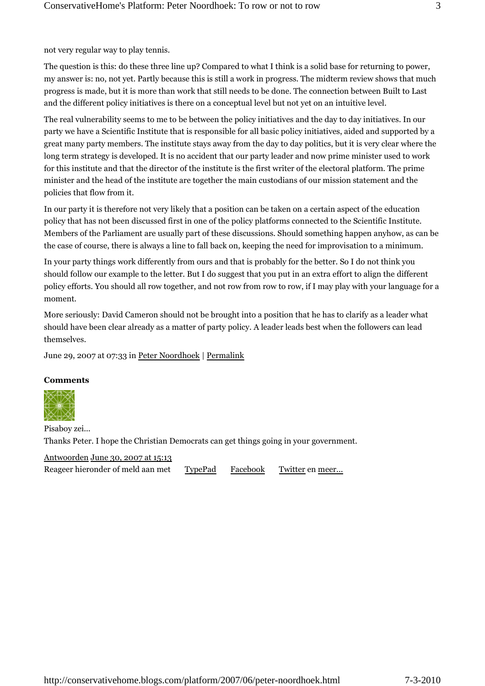not very regular way to play tennis.

The question is this: do these three line up? Compared to what I think is a solid base for returning to power, my answer is: no, not yet. Partly because this is still a work in progress. The midterm review shows that much progress is made, but it is more than work that still needs to be done. The connection between Built to Last and the different policy initiatives is there on a conceptual level but not yet on an intuitive level.

The real vulnerability seems to me to be between the policy initiatives and the day to day initiatives. In our party we have a Scientific Institute that is responsible for all basic policy initiatives, aided and supported by a great many party members. The institute stays away from the day to day politics, but it is very clear where the long term strategy is developed. It is no accident that our party leader and now prime minister used to work for this institute and that the director of the institute is the first writer of the electoral platform. The prime minister and the head of the institute are together the main custodians of our mission statement and the policies that flow from it.

In our party it is therefore not very likely that a position can be taken on a certain aspect of the education policy that has not been discussed first in one of the policy platforms connected to the Scientific Institute. Members of the Parliament are usually part of these discussions. Should something happen anyhow, as can be the case of course, there is always a line to fall back on, keeping the need for improvisation to a minimum.

In your party things work differently from ours and that is probably for the better. So I do not think you should follow our example to the letter. But I do suggest that you put in an extra effort to align the different policy efforts. You should all row together, and not row from row to row, if I may play with your language for a moment.

More seriously: David Cameron should not be brought into a position that he has to clarify as a leader what should have been clear already as a matter of party policy. A leader leads best when the followers can lead themselves.

June 29, 2007 at 07:33 in Peter Noordhoek | Permalink

## **Comments**



Pisaboy zei... Thanks Peter. I hope the Christian Democrats can get things going in your government.

Antwoorden June 30, 2007 at 15:13 Reageer hieronder of meld aan met TypePad Facebook Twitter en meer...